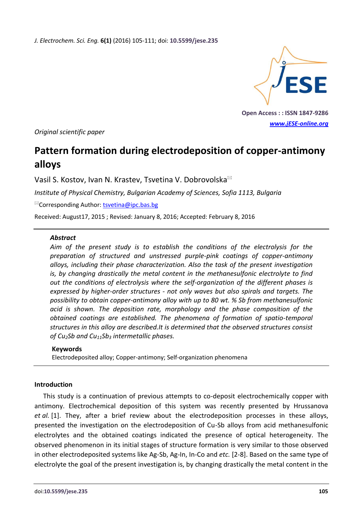*J. Electrochem. Sci. Eng.* **6(1)** (2016) 105-111; doi: **10.5599/jese.235**



**Open Access : : ISSN 1847-9286**  *[www.jESE-online.org](http://www.jese-online.org/)*

*Original scientific paper* 

# **Pattern formation during electrodeposition of copper-antimony alloys**

Vasil S. Kostov, Ivan N. Krastev, Tsvetina V. Dobrovolska

*Institute of Physical Chemistry, Bulgarian Academy of Sciences, Sofia 1113, Bulgaria*

 $\mathbb{Z}$ Corresponding Author: [tsvetina@ipc.bas.bg](mailto:tsvetina@ipc.bas.bg)

Received: August 17, 2015 Revised: January 8, 2016; Accepted: February 8, 2016

### *Abstract*

*Aim of the present study is to establish the conditions of the electrolysis for the preparation of structured and unstressed purple-pink coatings of copper-antimony alloys, including their phase characterization. Also the task of the present investigation is, by changing drastically the metal content in the methanesulfonic electrolyte to find out the conditions of electrolysis where the self-organization of the different phases is expressed by higher-order structures - not only waves but also spirals and targets. The possibility to obtain copper-antimony alloy with up to 80 wt. % Sb from methanesulfonic acid is shown. The deposition rate, morphology and the phase composition of the obtained coatings are established. The phenomena of formation of spatio-temporal structures in this alloy are described.It is determined that the observed structures consist of Cu2Sb and Cu11Sb3 intermetallic phases.* 

#### **Keywords**

Electrodeposited alloy; Copper-antimony; Self-organization phenomena

### **Introduction**

This study is a continuation of previous attempts to co-deposit electrochemically copper with antimony. Electrochemical deposition of this system was recently presented by Hrussanova *et al.* [1]. They, after a brief review about the electrodeposition processes in these alloys, presented the investigation on the electrodeposition of Cu-Sb alloys from acid methanesulfonic electrolytes and the obtained coatings indicated the presence of optical heterogeneity. The observed phenomenon in its initial stages of structure formation is very similar to those observed in other electrodeposited systems like Ag-Sb, Ag-In, In-Co and *etc.* [2-8]. Based on the same type of electrolyte the goal of the present investigation is, by changing drastically the metal content in the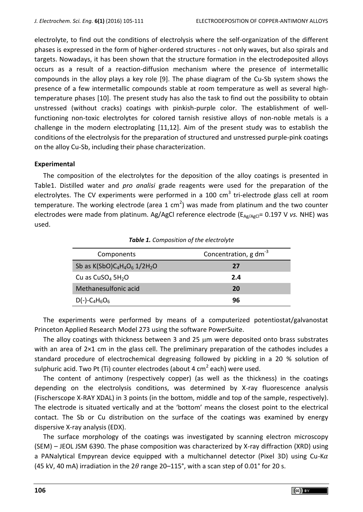electrolyte, to find out the conditions of electrolysis where the self-organization of the different phases is expressed in the form of higher-ordered structures - not only waves, but also spirals and targets. Nowadays, it has been shown that the structure formation in the electrodeposited alloys occurs as a result of a reaction-diffusion mechanism where the presence of intermetallic compounds in the alloy plays a key role [9]. The phase diagram of the Cu-Sb system shows the presence of a few intermetallic compounds stable at room temperature as well as several hightemperature phases [10]. The present study has also the task to find out the possibility to obtain unstressed (without cracks) coatings with pinkish-purple color. The establishment of wellfunctioning non-toxic electrolytes for colored tarnish resistive alloys of non-noble metals is a challenge in the modern electroplating [11,12]. Aim of the present study was to establish the conditions of the electrolysis for the preparation of structured and unstressed purple-pink coatings on the alloy Cu-Sb, including their phase characterization.

### **Experimental**

The composition of the electrolytes for the deposition of the alloy coatings is presented in Table1. Distilled water and *pro analisi* grade reagents were used for the preparation of the electrolytes. The CV experiments were performed in a 100  $\text{cm}^3$  tri-electrode glass cell at room temperature. The working electrode (area 1 cm<sup>2</sup>) was made from platinum and the two counter electrodes were made from platinum. Ag/AgCl reference electrode (E<sub>Ag/AgCl</sub>= 0.197 V *vs.* NHE) was used.

| Components                                           | Concentration, $g dm^{-3}$ |
|------------------------------------------------------|----------------------------|
| Sb as $K(SbO)C_4H_4O_6$ 1/2H <sub>2</sub> O          | 27                         |
| Cu as $CuSO4 5H2O$                                   | 2.4                        |
| Methanesulfonic acid                                 | 20                         |
| $D(-)$ -C <sub>4</sub> H <sub>6</sub> O <sub>6</sub> | 96                         |

*Table 1. Composition of the electrolyte* 

The experiments were performed by means of a computerized potentiostat/galvanostat Princeton Applied Research Model 273 using the software PowerSuite.

The alloy coatings with thickness between 3 and 25  $\mu$ m were deposited onto brass substrates with an area of 2×1 cm in the glass cell. The preliminary preparation of the cathodes includes a standard procedure of electrochemical degreasing followed by pickling in a 20 % solution of sulphuric acid. Two Pt (Ti) counter electrodes (about 4 cm<sup>2</sup> each) were used.

The content of antimony (respectively copper) (as well as the thickness) in the coatings depending on the electrolysis conditions, was determined by X-ray fluorescence analysis (Fischerscope X-RAY XDAL) in 3 points (in the bottom, middle and top of the sample, respectively). The electrode is situated vertically and at the 'bottom' means the closest point to the electrical contact. The Sb or Cu distribution on the surface of the coatings was examined by energy dispersive X-ray analysis (EDX).

The surface morphology of the coatings was investigated by scanning electron microscopy (SEM) – JEOL JSM 6390. The phase composition was characterized by X-ray diffraction (XRD) using a PANalytical Empyrean device equipped with a multichannel detector (Pixel 3D) using Cu-K $\alpha$ (45 kV, 40 mA) irradiation in the  $2\theta$  range 20–115°, with a scan step of 0.01° for 20 s.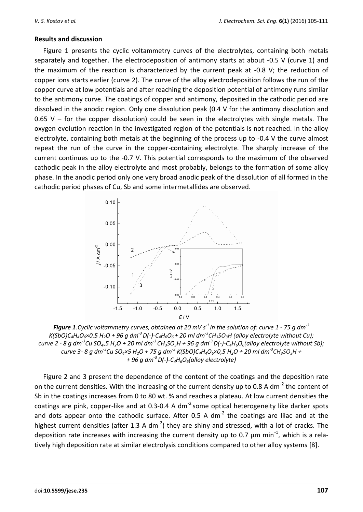### **Results and discussion**

Figure 1 presents the cyclic voltammetry curves of the electrolytes, containing both metals separately and together. The electrodeposition of antimony starts at about -0.5 V (curve 1) and the maximum of the reaction is characterized by the current peak at -0.8 V; the reduction of copper ions starts earlier (curve 2). The curve of the alloy electrodeposition follows the run of the copper curve at low potentials and after reaching the deposition potential of antimony runs similar to the antimony curve. The coatings of copper and antimony, deposited in the cathodic period are dissolved in the anodic region. Only one dissolution peak (0.4 V for the antimony dissolution and 0.65 V – for the copper dissolution) could be seen in the electrolytes with single metals. The oxygen evolution reaction in the investigated region of the potentials is not reached. In the alloy electrolyte, containing both metals at the beginning of the process up to -0.4 V the curve almost repeat the run of the curve in the copper-containing electrolyte. The sharply increase of the current continues up to the -0.7 V. This potential corresponds to the maximum of the observed cathodic peak in the alloy electrolyte and most probably, belongs to the formation of some alloy phase. In the anodic period only one very broad anodic peak of the dissolution of all formed in the cathodic period phases of Cu, Sb and some intermetallides are observed.



*Figure 1.Cyclic voltammetry curves, obtained at 20 mV s-1 in the solution of: curve 1 - 75 g dm-3* K(SbO)C<sub>4</sub>H<sub>4</sub>O<sub>6</sub>×0.5 H<sub>2</sub>O + 96 g dm<sup>-3</sup> D(-)-C<sub>4</sub>H<sub>6</sub>O<sub>6</sub> + 20 ml dm<sup>-3</sup>CH<sub>3</sub>SO<sub>3</sub>H (alloy electrolyte without Cu); curve 2 - 8 g dm<sup>-3</sup>Cu SO<sub>4×</sub>5 H<sub>2</sub>O + 20 ml dm<sup>-3</sup>CH<sub>3</sub>SO<sub>3</sub>H + 96 g dm<sup>-3</sup>D(-)-C<sub>4</sub>H<sub>6</sub>O<sub>6</sub>(alloy electrolyte without Sb); curve 3- 8 g dm<sup>-3</sup>Cu SO<sub>a</sub>×5 H<sub>2</sub>O + 75 g dm<sup>-3</sup> K(SbO)C<sub>a</sub>H<sub>a</sub>O<sub>6</sub>×0,5 H<sub>2</sub>O + 20 ml dm<sup>-3</sup>CH<sub>3</sub>SO<sub>3</sub>H + *+ 96 g dm-3 D(-)-C4H6O6(alloy electrolyte)*

Figure 2 and 3 present the dependence of the content of the coatings and the deposition rate on the current densities. With the increasing of the current density up to 0.8 A dm<sup>-2</sup> the content of Sb in the coatings increases from 0 to 80 wt. % and reaches a plateau. At low current densities the coatings are pink, copper-like and at 0.3-0.4 A  $dm<sup>-2</sup>$  some optical heterogeneity like darker spots and dots appear onto the cathodic surface. After 0.5 A dm<sup>-2</sup> the coatings are lilac and at the highest current densities (after 1.3 A dm<sup>-2</sup>) they are shiny and stressed, with a lot of cracks. The deposition rate increases with increasing the current density up to 0.7  $\mu$ m min<sup>-1</sup>, which is a relatively high deposition rate at similar electrolysis conditions compared to other alloy systems [8].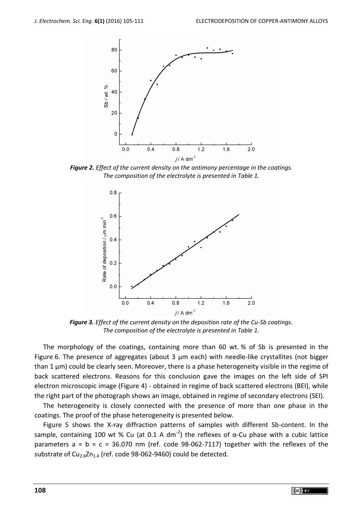

*Figure 2. Effect of the current density on the antimony percentage in the coatings. The composition of the electrolyte is presented in Table 1.*



*Figure 3. Effect of the current density on the deposition rate of the Cu-Sb coatings. The composition of the electrolyte is presented in Table 1.* 

The morphology of the coatings, containing more than 60 wt. % of Sb is presented in the Figure 6. The presence of aggregates (about 3 μm each) with needle-like crystallites (not bigger than 1 μm) could be clearly seen. Moreover, there is a phase heterogeneity visible in the regime of back scattered electrons. Reasons for this conclusion gave the images on the left side of SPI electron microscopic image (Figure 4) - obtained in regime of back scattered electrons (BEI), while the right part of the photograph shows an image, obtained in regime of secondary electrons (SEI).

The heterogeneity is closely connected with the presence of more than one phase in the coatings. The proof of the phase heterogeneity is presented below.

Figure 5 shows the X-ray diffraction patterns of samples with different Sb-content. In the sample, containing 100 wt % Cu (at 0.1 A dm<sup>-2</sup>) the reflexes of α-Cu phase with a cubic lattice parameters  $a = b = c = 36.070$  nm (ref. code 98-062-7117) together with the reflexes of the substrate of  $Cu_{2.6}Zn_{1.4}$  (ref. code 98-062-9460) could be detected.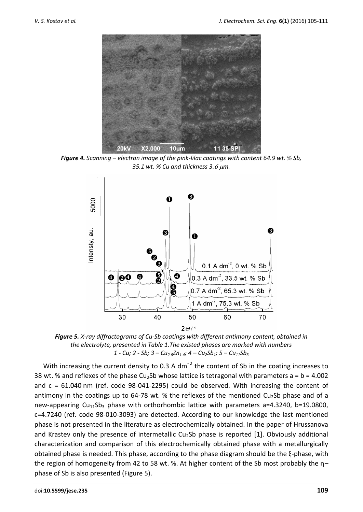

*Figure 4. Scanning – electron image of the pink-lilac coatings with content 64.9 wt. % Sb, 35.1 wt. % Cu and thickness 3.m.*



*Figure 5. X-ray diffractograms of Cu-Sb coatings with different antimony content, obtained in the electrolyte, presented in Table 1.The existed phases are marked with numbers 1 - Cu; 2 - Sb; 3 – Cu2.6Zn1.4; 4 – Cu2Sb1; 5 – Cu11Sb<sup>3</sup>*

With increasing the current density to 0.3 A dm<sup>-2</sup> the content of Sb in the coating increases to 38 wt. % and reflexes of the phase Cu<sub>2</sub>Sb whose lattice is tetragonal with parameters  $a = b = 4.002$ and  $c = 61.040$  nm (ref. code 98-041-2295) could be observed. With increasing the content of antimony in the coatings up to 64-78 wt. % the reflexes of the mentioned  $Cu<sub>2</sub>Sb$  phase and of a new-appearing  $Cu_{11}Sb_3$  phase with orthorhombic lattice with parameters a=4.3240, b=19.0800, c=4.7240 (ref. code 98-010-3093) are detected. According to our knowledge the last mentioned phase is not presented in the literature as electrochemically obtained. In the paper of Hrussanova and Krastev only the presence of intermetallic Cu<sub>2</sub>Sb phase is reported [1]. Obviously additional characterization and comparison of this electrochemically obtained phase with a metallurgically obtained phase is needed. This phase, according to the phase diagram should be the ξ-phase, with the region of homogeneity from 42 to 58 wt. %. At higher content of the Sb most probably the η– phase of Sb is also presented (Figure 5).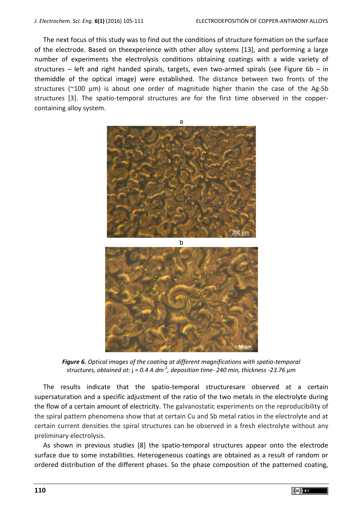The next focus of this study was to find out the conditions of structure formation on the surface of the electrode. Based on theexperience with other alloy systems [13], and performing a large number of experiments the electrolysis conditions obtaining coatings with a wide variety of structures – left and right handed spirals, targets, even two-armed spirals (see Figure 6b – in themiddle of the optical image) were established. The distance between two fronts of the structures ( $\approx$ 100  $\mu$ m) is about one order of magnitude higher thanin the case of the Ag-Sb structures [3]. The spatio-temporal structures are for the first time observed in the coppercontaining alloy system.



*Figure 6. Optical images of the coating at different magnifications with spatio-temporal structures, obtained at:*  $j = 0.4 A dm<sup>2</sup>$ , deposition time- 240 min, thickness -23.76  $\mu$ m

The results indicate that the spatio-temporal structuresare observed at a certain supersaturation and a specific adjustment of the ratio of the two metals in the electrolyte during the flow of a certain amount of electricity. The galvanostatic experiments on the reproducibility of the spiral pattern phenomena show that at certain Cu and Sb metal ratios in the electrolyte and at certain current densities the spiral structures can be observed in a fresh electrolyte without any preliminary electrolysis.

As shown in previous studies [8] the spatio-temporal structures appear onto the electrode surface due to some instabilities. Heterogeneous coatings are obtained as a result of random or ordered distribution of the different phases. So the phase composition of the patterned coating,